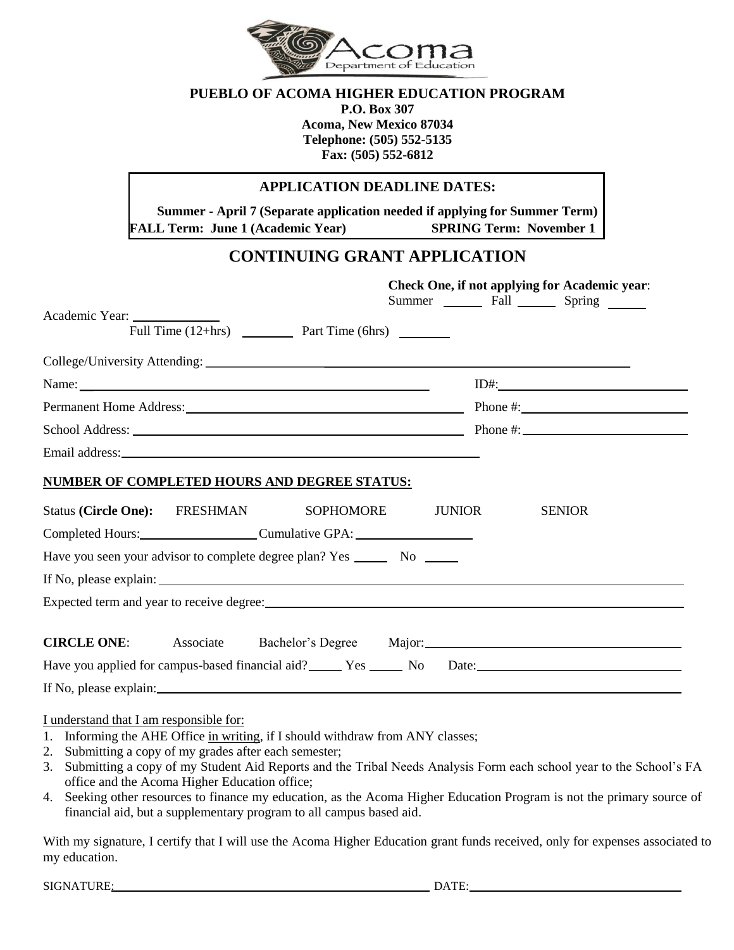

## **PUEBLO OF ACOMA HIGHER EDUCATION PROGRAM**

**P.O. Box 307 Acoma, New Mexico 87034 Telephone: (505) 552-5135 Fax: (505) 552-6812**

## **APPLICATION DEADLINE DATES:**

**Summer - April 7 (Separate application needed if applying for Summer Term) FALL Term: June 1 (Academic Year) SPRING Term: November 1**

## **CONTINUING GRANT APPLICATION**

|                                                                             | Check One, if not applying for Academic year:<br>Summer ________ Fall ________ Spring _______ |
|-----------------------------------------------------------------------------|-----------------------------------------------------------------------------------------------|
| Academic Year:                                                              |                                                                                               |
| Full Time (12+hrs) _____________ Part Time (6hrs) _________                 |                                                                                               |
|                                                                             |                                                                                               |
|                                                                             |                                                                                               |
| Permanent Home Address: Phone #:                                            |                                                                                               |
|                                                                             |                                                                                               |
|                                                                             |                                                                                               |
| NUMBER OF COMPLETED HOURS AND DEGREE STATUS:                                |                                                                                               |
| Status (Circle One): FRESHMAN SOPHOMORE<br><b>JUNIOR</b>                    | <b>SENIOR</b>                                                                                 |
| Completed Hours: Cumulative GPA: Cumulative GPA:                            |                                                                                               |
| Have you seen your advisor to complete degree plan? Yes ________ No _______ |                                                                                               |
|                                                                             |                                                                                               |
|                                                                             |                                                                                               |
| <b>CIRCLE ONE:</b> Associate<br>Bachelor's Degree Major:                    |                                                                                               |
| Have you applied for campus-based financial aid? No Date: No Date:          |                                                                                               |
|                                                                             |                                                                                               |

I understand that I am responsible for:

- 1. Informing the AHE Office in writing, if I should withdraw from ANY classes;
- 2. Submitting a copy of my grades after each semester;
- 3. Submitting a copy of my Student Aid Reports and the Tribal Needs Analysis Form each school year to the School's FA office and the Acoma Higher Education office;
- 4. Seeking other resources to finance my education, as the Acoma Higher Education Program is not the primary source of financial aid, but a supplementary program to all campus based aid.

With my signature, I certify that I will use the Acoma Higher Education grant funds received, only for expenses associated to my education.

SIGNATURE: DATE: